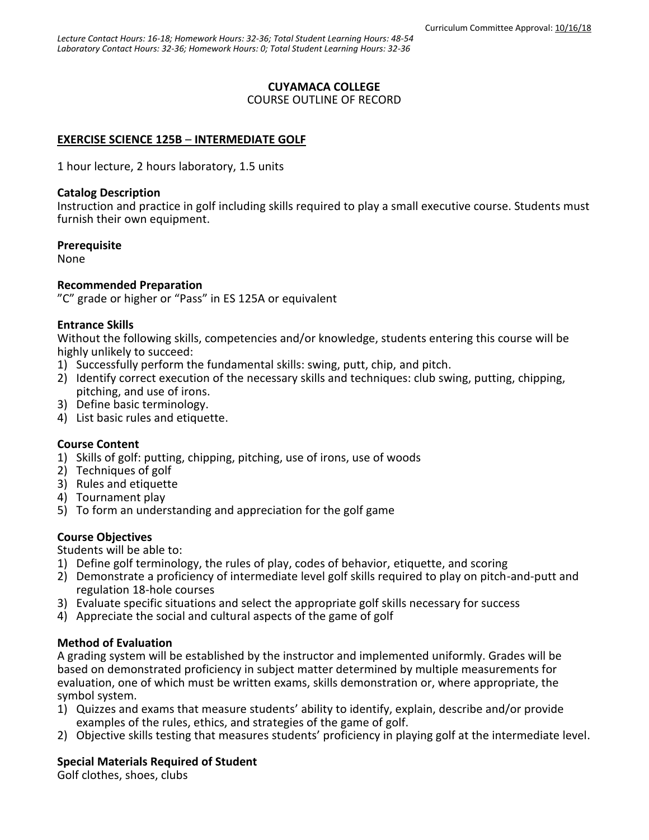## **CUYAMACA COLLEGE**

#### COURSE OUTLINE OF RECORD

### **EXERCISE SCIENCE 125B** – **INTERMEDIATE GOLF**

1 hour lecture, 2 hours laboratory, 1.5 units

### **Catalog Description**

Instruction and practice in golf including skills required to play a small executive course. Students must furnish their own equipment.

### **Prerequisite**

None

### **Recommended Preparation**

"C" grade or higher or "Pass" in ES 125A or equivalent

### **Entrance Skills**

Without the following skills, competencies and/or knowledge, students entering this course will be highly unlikely to succeed:

- 1) Successfully perform the fundamental skills: swing, putt, chip, and pitch.
- 2) Identify correct execution of the necessary skills and techniques: club swing, putting, chipping, pitching, and use of irons.
- 3) Define basic terminology.
- 4) List basic rules and etiquette.

### **Course Content**

- 1) Skills of golf: putting, chipping, pitching, use of irons, use of woods
- 2) Techniques of golf
- 3) Rules and etiquette
- 4) Tournament play
- 5) To form an understanding and appreciation for the golf game

### **Course Objectives**

Students will be able to:

- 1) Define golf terminology, the rules of play, codes of behavior, etiquette, and scoring
- 2) Demonstrate a proficiency of intermediate level golf skills required to play on pitch-and-putt and regulation 18-hole courses
- 3) Evaluate specific situations and select the appropriate golf skills necessary for success
- 4) Appreciate the social and cultural aspects of the game of golf

### **Method of Evaluation**

A grading system will be established by the instructor and implemented uniformly. Grades will be based on demonstrated proficiency in subject matter determined by multiple measurements for evaluation, one of which must be written exams, skills demonstration or, where appropriate, the symbol system.

- 1) Quizzes and exams that measure students' ability to identify, explain, describe and/or provide examples of the rules, ethics, and strategies of the game of golf.
- 2) Objective skills testing that measures students' proficiency in playing golf at the intermediate level.

### **Special Materials Required of Student**

Golf clothes, shoes, clubs